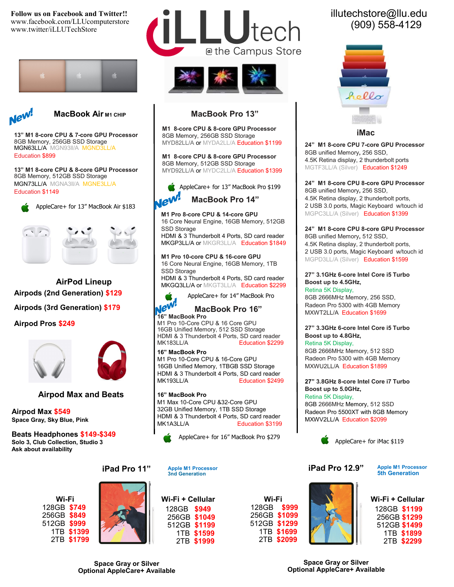**Follow us on Facebook and Twitter!!**  www.facebook.com/LLUcomputerstore www.twitter/iLLUTechStore





*MacBook Air м1 СНІР* 

**13" M1 8-core CPU & 7-core GPU Processor** 8GB Memory, 256GB SSD Storage MGN63LL/A MGN93II/A MGNI Education \$899

**13" M1 8-core CPU & 8-core GPU Processor** 8GB Memory, 512GB SSD Storage MGN73LL/A MGNA3ll/A MGNE3LL/A

AppleCare+ for 13" MacBook Air \$183



**Airpods (2nd Generation) \$129 Airpods (3rd Generation) \$179 AirPod Lineup**

**Airpod Pros \$249**



## **Airpod Max and Beats**

**Airpod Max \$549 Space Gray, Sky Blue, Pink**

**Beats Headphones \$149-\$349 Solo 3, Club Collection, Studio 3 Ask about availability**











## **MacBook Pro 13"**

**M1 8-core CPU & 8-core GPU Processor** 8GB Memory, 256GB SSD Storage MYD82LL/A or MYDA2LL/A Education \$1199

**M1 8-core CPU & 8-core GPU Processor** 8GB Memory, 512GB SSD Storage MYD92LL/A or MYDC2LL/A Education \$1399



**M1 Pro 8-core CPU & 14-core GPU**  16 Core Neural Engine, 16GB Memory, 512GB SSD Storage

HDMI & 3 Thunderbolt 4 Ports, SD card reader MKGP3LL/A or MKGR3LL/A Education \$1849

### **M1 Pro 10-core CPU & 16-core GPU**

16 Core Neural Engine, 16GB Memory, 1TB SSD Storage HDMI & 3 Thunderbolt 4 Ports, SD card reader MKGQ3LL/A or MKGT3LL/A Education \$2299



 **MacBook Pro 16"**

**16" MacBook Pro**

M1 Pro 10-Core CPU & 16 Core GPU 16GB Unified Memory, 512 SSD Storage HDMI & 3 Thunderbolt 4 Ports, SD card reader<br>MK183LL/A **Bully Reducation \$2299** Education \$2299

### **16" MacBook Pro**

M1 Pro 10-Core CPU & 16-Core GPU 16GB Unified Memory, 1TBGB SSD Storage HDMI & 3 Thunderbolt 4 Ports, SD card reader MK193LL/A Education \$2499

### **16" MacBook Pro**

M1 Max 10-Core CPU &32-Core GPU 32GB Unified Memory, 1TB SSD Storage HDMI & 3 Thunderbolt 4 Ports, SD card reader<br>MK1A3LL/A<br>Education \$3199 Education \$3199



**Apple M1 Processor 3nd Generation**

**Wi-Fi + Cellular** 128GB **\$949** 256GB **\$1049** 512GB **\$1199** 1TB **\$1599** 2TB **\$1999**



# illutechstore@llu.edu (909) 558-4129



 **iMac**

**24" M1 8-core CPU 7-core GPU Processor** 8GB unified Memory**,** 256 SSD, 4.5K Retina display, 2 thunderbolt ports MGTF3LL/A (Silver) Education \$1249

**24" M1 8-core CPU 8-core GPU Processor** 8GB unified Memory**,** 256 SSD, 4.5K Retina display, 2 thunderbolt ports, 2 USB 3.0 ports, Magic Keyboard w/touch id MGPC3LL/A (Silver) Education \$1399

#### **24" M1 8-core CPU 8-core GPU Processor** 8GB unified Memory**,** 512 SSD,

4.5K Retina display, 2 thunderbolt ports, 2 USB 3.0 ports, Magic Keyboard w/touch id MGPD3LL/A (Silver) Education \$1599

#### **27" 3.1GHz 6-core Intel Core i5 Turbo Boost up to 4.5GHz,**  Retina 5K Display,

8GB 2666MHz Memory, 256 SSD, Radeon Pro 5300 with 4GB Memory MXWT2LL/A Education \$1699

### **27" 3.3GHz 6-core Intel Core i5 Turbo Boost up to 4.8GHz,**

Retina 5K Display, 8GB 2666MHz Memory, 512 SSD Radeon Pro 5300 with 4GB Memory MXWU2LL/A Education \$1899

## **27" 3.8GHz 8-core Intel Core i7 Turbo Boost up to 5.0GHz,**

Retina 5K Display, 8GB 2666MHz Memory, 512 SSD Radeon Pro 5500XT with 8GB Memory MXWV2LL/A Education \$2099



**iPad Pro 12.9"**

**Apple M1 Processor 5th Generation**



**Wi-Fi + Cellular** 128GB **\$1199** 256GB **\$1299** 512GB **\$1499** 1TB **\$1899** 2TB **\$2299**

**Space Gray or Silver Optional AppleCare+ Available**

**Space Gray or Silver Optional AppleCare+ Available**